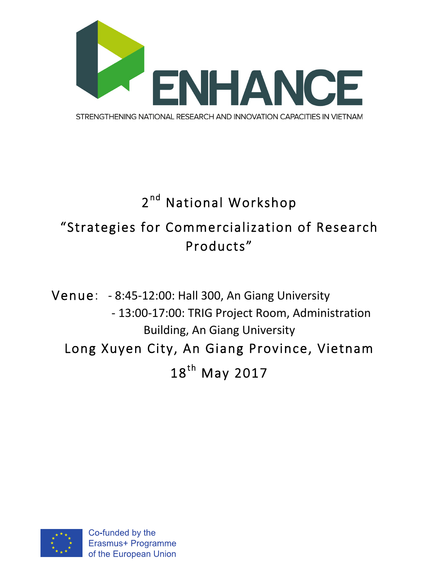

## 2<sup>nd</sup> National Workshop "Strategies for Commercialization of Research Products"

Venue: - 8:45-12:00: Hall 300, An Giang University - 13:00-17:00: TRIG Project Room, Administration **Building, An Giang University** Long Xuyen City, An Giang Province, Vietnam 18<sup>th</sup> May 2017

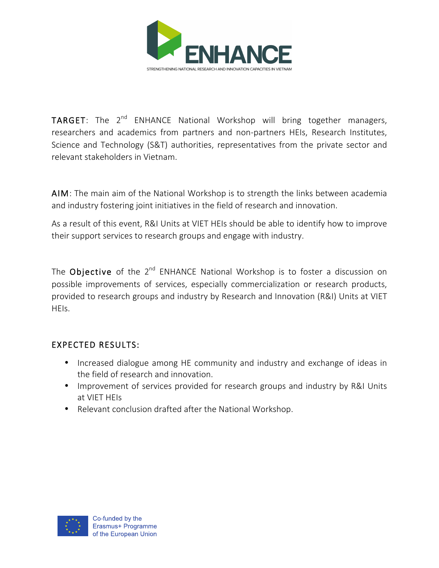

**TARGET:** The  $2^{nd}$  ENHANCE National Workshop will bring together managers, researchers and academics from partners and non-partners HEIs, Research Institutes, Science and Technology (S&T) authorities, representatives from the private sector and relevant stakeholders in Vietnam.

AIM: The main aim of the National Workshop is to strength the links between academia and industry fostering joint initiatives in the field of research and innovation.

As a result of this event, R&I Units at VIET HEIs should be able to identify how to improve their support services to research groups and engage with industry.

The Objective of the  $2^{nd}$  ENHANCE National Workshop is to foster a discussion on possible improvements of services, especially commercialization or research products, provided to research groups and industry by Research and Innovation (R&I) Units at VIET HEIs.

## EXPECTED RESULTS:

- Increased dialogue among HE community and industry and exchange of ideas in the field of research and innovation.
- Improvement of services provided for research groups and industry by R&I Units at VIET HEIs
- Relevant conclusion drafted after the National Workshop.